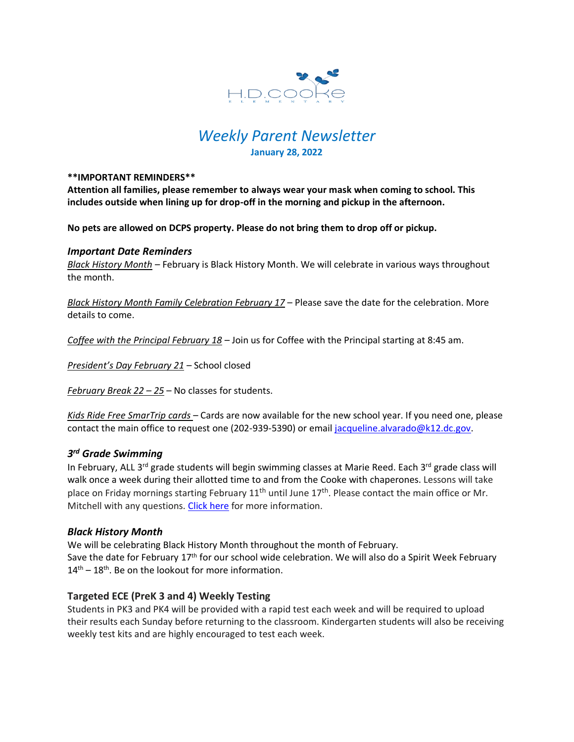

# *Weekly Parent Newsletter* **January 28, 2022**

#### **\*\*IMPORTANT REMINDERS\*\***

**Attention all families, please remember to always wear your mask when coming to school. This includes outside when lining up for drop-off in the morning and pickup in the afternoon.** 

**No pets are allowed on DCPS property. Please do not bring them to drop off or pickup.** 

#### *Important Date Reminders*

*Black History Month* – February is Black History Month. We will celebrate in various ways throughout the month.

*Black History Month Family Celebration February 17* – Please save the date for the celebration. More details to come.

*Coffee with the Principal February 18* – Join us for Coffee with the Principal starting at 8:45 am.

*President's Day February 21* – School closed

*February Break 22 – 25* – No classes for students.

*Kids Ride Free SmarTrip cards* – Cards are now available for the new school year. If you need one, please contact the main office to request one (202-939-5390) or email [jacqueline.alvarado@k12.dc.gov.](mailto:jacqueline.alvarado@k12.dc.gov)

## *3 rd Grade Swimming*

In February, ALL 3<sup>rd</sup> grade students will begin swimming classes at Marie Reed. Each 3<sup>rd</sup> grade class will walk once a week during their allotted time to and from the Cooke with chaperones. Lessons will take place on Friday mornings starting February  $11<sup>th</sup>$  until June  $17<sup>th</sup>$ . Please contact the main office or Mr. Mitchell with any questions. [Click here](https://www.hdcookeschool.org/newsletters) for more information.

## *Black History Month*

We will be celebrating Black History Month throughout the month of February. Save the date for February 17<sup>th</sup> for our school wide celebration. We will also do a Spirit Week February  $14<sup>th</sup> - 18<sup>th</sup>$ . Be on the lookout for more information.

## **Targeted ECE (PreK 3 and 4) Weekly Testing**

Students in PK3 and PK4 will be provided with a rapid test each week and will be required to upload their results each Sunday before returning to the classroom. Kindergarten students will also be receiving weekly test kits and are highly encouraged to test each week.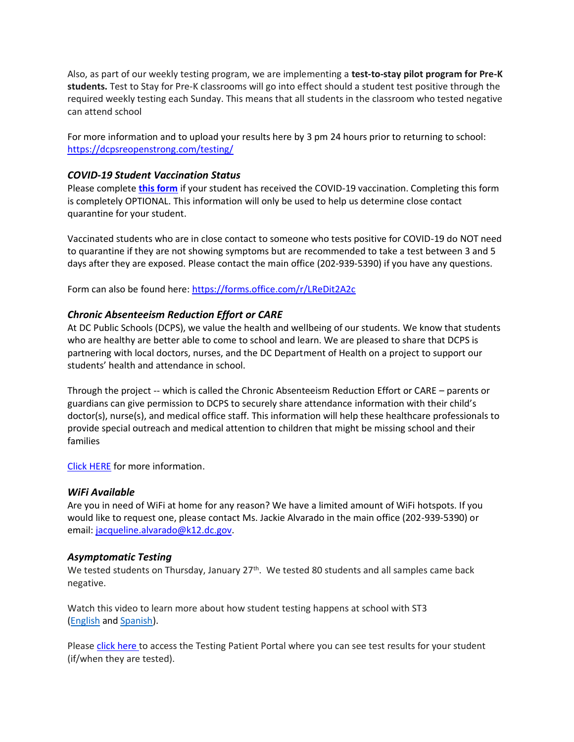Also, as part of our weekly testing program, we are implementing a **test-to-stay pilot program for Pre-K students.** Test to Stay for Pre-K classrooms will go into effect should a student test positive through the required weekly testing each Sunday. This means that all students in the classroom who tested negative can attend school

For more information and to upload your results here by 3 pm 24 hours prior to returning to school: <https://dcpsreopenstrong.com/testing/>

## *COVID-19 Student Vaccination Status*

Please complete **[this form](https://forms.office.com/r/LReDit2A2c)** if your student has received the COVID-19 vaccination. Completing this form is completely OPTIONAL. This information will only be used to help us determine close contact quarantine for your student.

Vaccinated students who are in close contact to someone who tests positive for COVID-19 do NOT need to quarantine if they are not showing symptoms but are recommended to take a test between 3 and 5 days after they are exposed. Please contact the main office (202-939-5390) if you have any questions.

Form can also be found here:<https://forms.office.com/r/LReDit2A2c>

## *Chronic Absenteeism Reduction Effort or CARE*

At DC Public Schools (DCPS), we value the health and wellbeing of our students. We know that students who are healthy are better able to come to school and learn. We are pleased to share that DCPS is partnering with local doctors, nurses, and the DC Department of Health on a project to support our students' health and attendance in school.

Through the project -- which is called the Chronic Absenteeism Reduction Effort or CARE – parents or guardians can give permission to DCPS to securely share attendance information with their child's doctor(s), nurse(s), and medical office staff. This information will help these healthcare professionals to provide special outreach and medical attention to children that might be missing school and their families

[Click HERE](https://dcps.dc.gov/sites/default/files/dc/sites/dcps/page_content/attachments/CARE_Enrollment_packet_-_ENGLISH.pdf) for more information.

#### *WiFi Available*

Are you in need of WiFi at home for any reason? We have a limited amount of WiFi hotspots. If you would like to request one, please contact Ms. Jackie Alvarado in the main office (202-939-5390) or email: [jacqueline.alvarado@k12.dc.gov.](mailto:jacqueline.alvarado@k12.dc.gov)

#### *Asymptomatic Testing*

We tested students on Thursday, January 27<sup>th</sup>. We tested 80 students and all samples came back negative.

Watch this video to learn more about how student testing happens at school with ST3 [\(English](https://urldefense.proofpoint.com/v2/url?u=https-3A__rise.articulate.com_share_-2Dq6MdIeo2V42boWuOGTu8i4-2DcT9E-5Fpjy-23_lessons_QicMYr-5FNcrCg54C5EtRyuC-2DwHJjQQVR2&d=DwMFAg&c=euGZstcaTDllvimEN8b7jXrwqOf-v5A_CdpgnVfiiMM&r=r7MsakikdNxOh-N_Ssj9mdJUMRjWvhYw18Eqx42UE40&m=-vbhK74dxdF3UGFM3KXX_Mk-PGWZWrPZHiFLh_rcYM0&s=470EC6i3UbApDRfaxDIuMzBPFqhzK2pNSc-krTjYzOw&e=) and [Spanish\)](https://urldefense.proofpoint.com/v2/url?u=https-3A__youtu.be_PRaXjkFlGGQ&d=DwMFAg&c=euGZstcaTDllvimEN8b7jXrwqOf-v5A_CdpgnVfiiMM&r=r7MsakikdNxOh-N_Ssj9mdJUMRjWvhYw18Eqx42UE40&m=-vbhK74dxdF3UGFM3KXX_Mk-PGWZWrPZHiFLh_rcYM0&s=yCXksETv2O2ZulcBl9cazNcOvmB9Inp-drZAlbuFkaw&e=).

Please click [here](https://shieldt3k12portal.pointnclick.com/login_login.aspx) to access the Testing Patient Portal where you can see test results for your student (if/when they are tested).